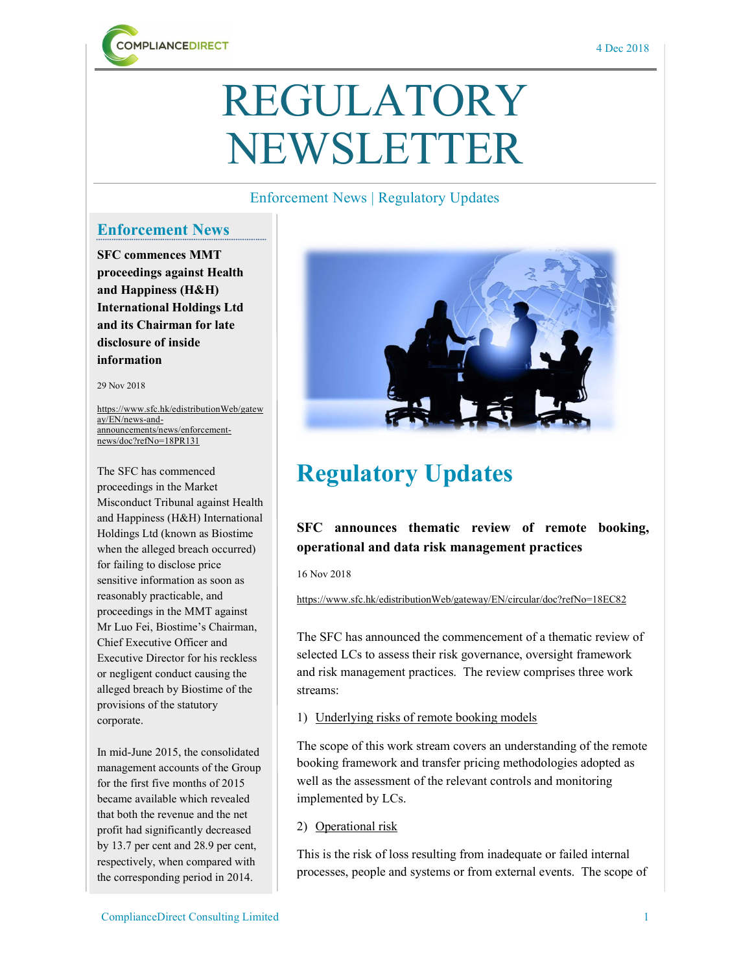

# REGULATORY NEWSLETTER

### Enforcement News | Regulatory Updates

### Enforcement News

SFC commences MMT proceedings against Health and Happiness (H&H) International Holdings Ltd and its Chairman for late disclosure of inside information

29 Nov 2018

https://www.sfc.hk/edistributionWeb/gatew ay/EN/news-andannouncements/news/enforcementnews/doc?refNo=18PR131

The SFC has commenced proceedings in the Market Misconduct Tribunal against Health and Happiness (H&H) International Holdings Ltd (known as Biostime when the alleged breach occurred) for failing to disclose price sensitive information as soon as reasonably practicable, and proceedings in the MMT against Mr Luo Fei, Biostime's Chairman, Chief Executive Officer and Executive Director for his reckless or negligent conduct causing the alleged breach by Biostime of the provisions of the statutory corporate.

In mid-June 2015, the consolidated management accounts of the Group for the first five months of 2015 became available which revealed that both the revenue and the net profit had significantly decreased by 13.7 per cent and 28.9 per cent, respectively, when compared with the corresponding period in 2014.



## Regulatory Updates

### SFC announces thematic review of remote booking, operational and data risk management practices

16 Nov 2018

https://www.sfc.hk/edistributionWeb/gateway/EN/circular/doc?refNo=18EC82

The SFC has announced the commencement of a thematic review of selected LCs to assess their risk governance, oversight framework and risk management practices. The review comprises three work streams:

#### 1) Underlying risks of remote booking models

The scope of this work stream covers an understanding of the remote booking framework and transfer pricing methodologies adopted as well as the assessment of the relevant controls and monitoring implemented by LCs.

2) Operational risk

This is the risk of loss resulting from inadequate or failed internal processes, people and systems or from external events. The scope of